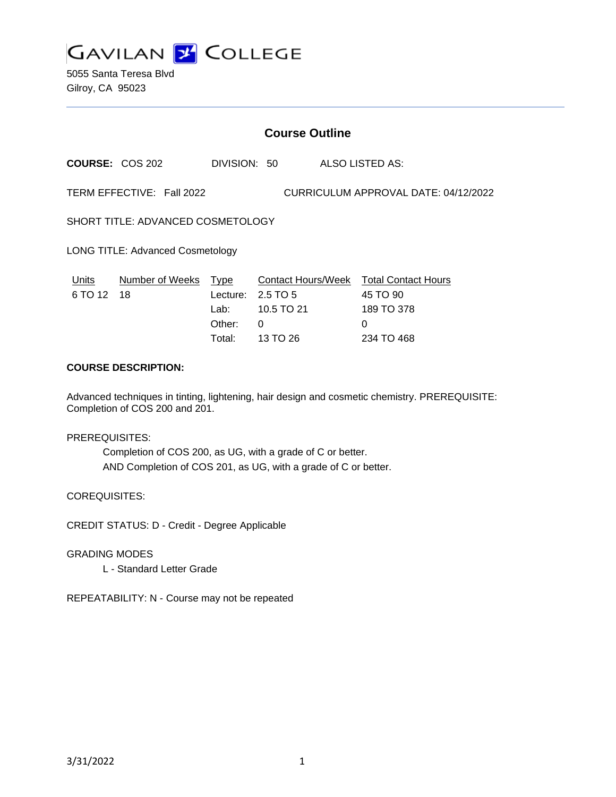

5055 Santa Teresa Blvd Gilroy, CA 95023

## **Course Outline**

**COURSE:** COS 202 DIVISION: 50 ALSO LISTED AS: TERM EFFECTIVE: Fall 2022 CURRICULUM APPROVAL DATE: 04/12/2022 SHORT TITLE: ADVANCED COSMETOLOGY LONG TITLE: Advanced Cosmetology Units Number of Weeks Type Contact Hours/Week Total Contact Hours 6 TO 12 18 Lecture: 2.5 TO 5 45 TO 90 Lab: 10.5 TO 21 189 TO 378 Other: 0 0

## **COURSE DESCRIPTION:**

Advanced techniques in tinting, lightening, hair design and cosmetic chemistry. PREREQUISITE: Completion of COS 200 and 201.

Total: 13 TO 26 234 TO 468

#### PREREQUISITES:

Completion of COS 200, as UG, with a grade of C or better. AND Completion of COS 201, as UG, with a grade of C or better.

COREQUISITES:

CREDIT STATUS: D - Credit - Degree Applicable

GRADING MODES

L - Standard Letter Grade

REPEATABILITY: N - Course may not be repeated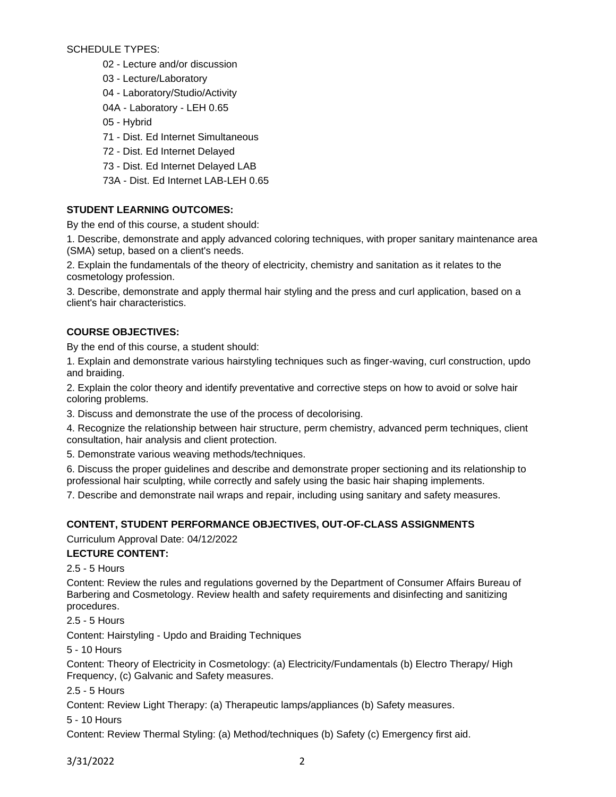SCHEDULE TYPES:

- 02 Lecture and/or discussion
- 03 Lecture/Laboratory
- 04 Laboratory/Studio/Activity
- 04A Laboratory LEH 0.65
- 05 Hybrid
- 71 Dist. Ed Internet Simultaneous
- 72 Dist. Ed Internet Delayed
- 73 Dist. Ed Internet Delayed LAB
- 73A Dist. Ed Internet LAB-LEH 0.65

# **STUDENT LEARNING OUTCOMES:**

By the end of this course, a student should:

1. Describe, demonstrate and apply advanced coloring techniques, with proper sanitary maintenance area (SMA) setup, based on a client's needs.

2. Explain the fundamentals of the theory of electricity, chemistry and sanitation as it relates to the cosmetology profession.

3. Describe, demonstrate and apply thermal hair styling and the press and curl application, based on a client's hair characteristics.

# **COURSE OBJECTIVES:**

By the end of this course, a student should:

1. Explain and demonstrate various hairstyling techniques such as finger-waving, curl construction, updo and braiding.

2. Explain the color theory and identify preventative and corrective steps on how to avoid or solve hair coloring problems.

3. Discuss and demonstrate the use of the process of decolorising.

4. Recognize the relationship between hair structure, perm chemistry, advanced perm techniques, client consultation, hair analysis and client protection.

5. Demonstrate various weaving methods/techniques.

6. Discuss the proper guidelines and describe and demonstrate proper sectioning and its relationship to professional hair sculpting, while correctly and safely using the basic hair shaping implements.

7. Describe and demonstrate nail wraps and repair, including using sanitary and safety measures.

# **CONTENT, STUDENT PERFORMANCE OBJECTIVES, OUT-OF-CLASS ASSIGNMENTS**

Curriculum Approval Date: 04/12/2022

# **LECTURE CONTENT:**

2.5 - 5 Hours

Content: Review the rules and regulations governed by the Department of Consumer Affairs Bureau of Barbering and Cosmetology. Review health and safety requirements and disinfecting and sanitizing procedures.

2.5 - 5 Hours

Content: Hairstyling - Updo and Braiding Techniques

5 - 10 Hours

Content: Theory of Electricity in Cosmetology: (a) Electricity/Fundamentals (b) Electro Therapy/ High Frequency, (c) Galvanic and Safety measures.

2.5 - 5 Hours

Content: Review Light Therapy: (a) Therapeutic lamps/appliances (b) Safety measures.

5 - 10 Hours

Content: Review Thermal Styling: (a) Method/techniques (b) Safety (c) Emergency first aid.

3/31/2022 2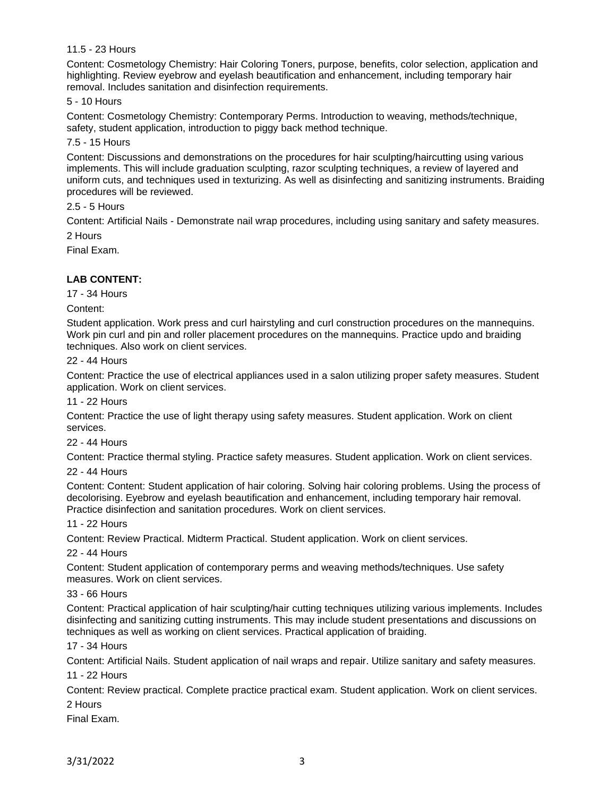## 11.5 - 23 Hours

Content: Cosmetology Chemistry: Hair Coloring Toners, purpose, benefits, color selection, application and highlighting. Review eyebrow and eyelash beautification and enhancement, including temporary hair removal. Includes sanitation and disinfection requirements.

## 5 - 10 Hours

Content: Cosmetology Chemistry: Contemporary Perms. Introduction to weaving, methods/technique, safety, student application, introduction to piggy back method technique.

### 7.5 - 15 Hours

Content: Discussions and demonstrations on the procedures for hair sculpting/haircutting using various implements. This will include graduation sculpting, razor sculpting techniques, a review of layered and uniform cuts, and techniques used in texturizing. As well as disinfecting and sanitizing instruments. Braiding procedures will be reviewed.

## 2.5 - 5 Hours

Content: Artificial Nails - Demonstrate nail wrap procedures, including using sanitary and safety measures. 2 Hours

Final Exam.

# **LAB CONTENT:**

17 - 34 Hours

Content:

Student application. Work press and curl hairstyling and curl construction procedures on the mannequins. Work pin curl and pin and roller placement procedures on the mannequins. Practice updo and braiding techniques. Also work on client services.

#### 22 - 44 Hours

Content: Practice the use of electrical appliances used in a salon utilizing proper safety measures. Student application. Work on client services.

### 11 - 22 Hours

Content: Practice the use of light therapy using safety measures. Student application. Work on client services.

#### 22 - 44 Hours

Content: Practice thermal styling. Practice safety measures. Student application. Work on client services.

#### 22 - 44 Hours

Content: Content: Student application of hair coloring. Solving hair coloring problems. Using the process of decolorising. Eyebrow and eyelash beautification and enhancement, including temporary hair removal. Practice disinfection and sanitation procedures. Work on client services.

#### 11 - 22 Hours

Content: Review Practical. Midterm Practical. Student application. Work on client services.

#### 22 - 44 Hours

Content: Student application of contemporary perms and weaving methods/techniques. Use safety measures. Work on client services.

## 33 - 66 Hours

Content: Practical application of hair sculpting/hair cutting techniques utilizing various implements. Includes disinfecting and sanitizing cutting instruments. This may include student presentations and discussions on techniques as well as working on client services. Practical application of braiding.

### 17 - 34 Hours

Content: Artificial Nails. Student application of nail wraps and repair. Utilize sanitary and safety measures.

#### 11 - 22 Hours

Content: Review practical. Complete practice practical exam. Student application. Work on client services. 2 Hours

Final Exam.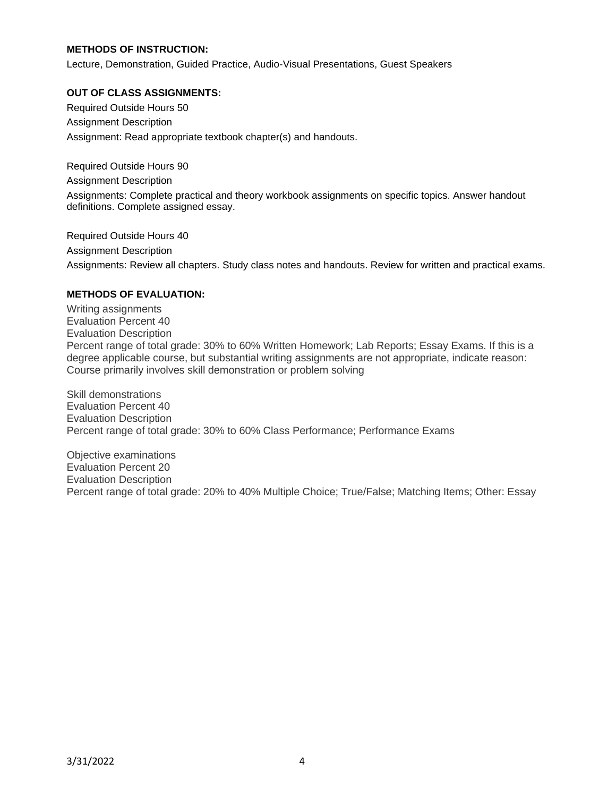## **METHODS OF INSTRUCTION:**

Lecture, Demonstration, Guided Practice, Audio-Visual Presentations, Guest Speakers

### **OUT OF CLASS ASSIGNMENTS:**

Required Outside Hours 50 Assignment Description Assignment: Read appropriate textbook chapter(s) and handouts.

Required Outside Hours 90 Assignment Description Assignments: Complete practical and theory workbook assignments on specific topics. Answer handout definitions. Complete assigned essay.

Required Outside Hours 40 Assignment Description Assignments: Review all chapters. Study class notes and handouts. Review for written and practical exams.

## **METHODS OF EVALUATION:**

Writing assignments Evaluation Percent 40 Evaluation Description Percent range of total grade: 30% to 60% Written Homework; Lab Reports; Essay Exams. If this is a degree applicable course, but substantial writing assignments are not appropriate, indicate reason: Course primarily involves skill demonstration or problem solving

Skill demonstrations Evaluation Percent 40 Evaluation Description Percent range of total grade: 30% to 60% Class Performance; Performance Exams

Objective examinations Evaluation Percent 20 Evaluation Description Percent range of total grade: 20% to 40% Multiple Choice; True/False; Matching Items; Other: Essay